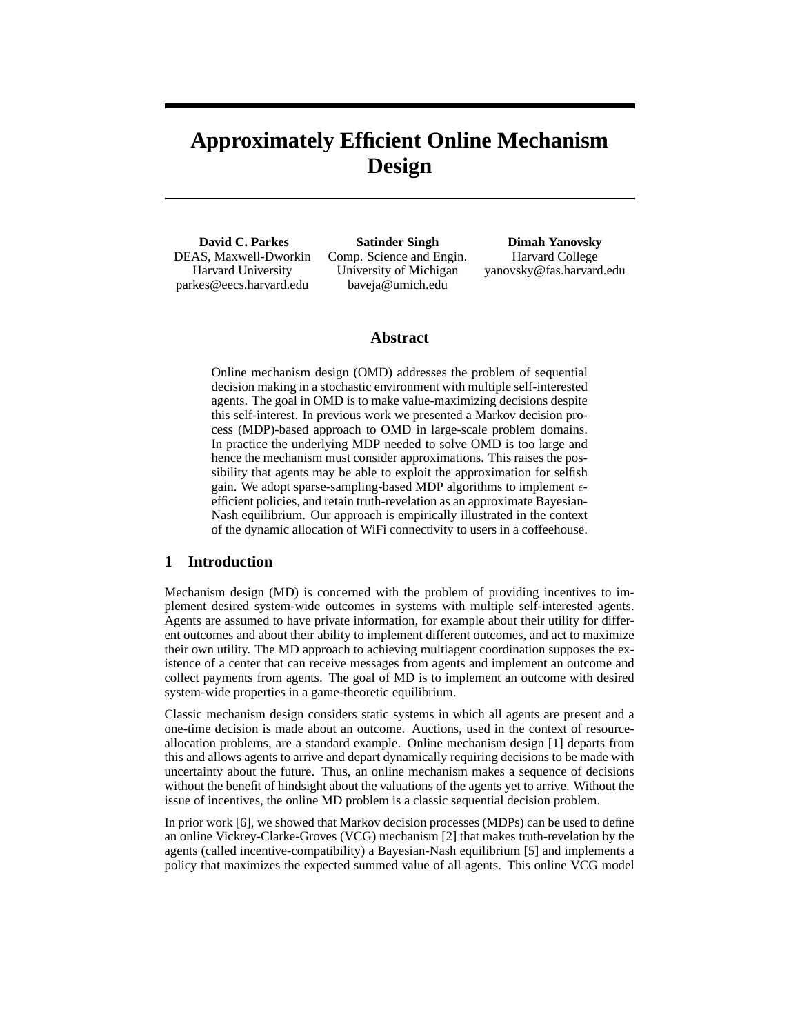# **Approximately Efficient Online Mechanism Design**

**David C. Parkes** DEAS, Maxwell-Dworkin Harvard University parkes@eecs.harvard.edu

**Satinder Singh** Comp. Science and Engin. University of Michigan baveja@umich.edu

**Dimah Yanovsky** Harvard College yanovsky@fas.harvard.edu

## **Abstract**

Online mechanism design (OMD) addresses the problem of sequential decision making in a stochastic environment with multiple self-interested agents. The goal in OMD is to make value-maximizing decisions despite this self-interest. In previous work we presented a Markov decision process (MDP)-based approach to OMD in large-scale problem domains. In practice the underlying MDP needed to solve OMD is too large and hence the mechanism must consider approximations. This raises the possibility that agents may be able to exploit the approximation for selfish gain. We adopt sparse-sampling-based MDP algorithms to implement  $\epsilon$ efficient policies, and retain truth-revelation as an approximate Bayesian-Nash equilibrium. Our approach is empirically illustrated in the context of the dynamic allocation of WiFi connectivity to users in a coffeehouse.

#### **1 Introduction**

Mechanism design (MD) is concerned with the problem of providing incentives to implement desired system-wide outcomes in systems with multiple self-interested agents. Agents are assumed to have private information, for example about their utility for different outcomes and about their ability to implement different outcomes, and act to maximize their own utility. The MD approach to achieving multiagent coordination supposes the existence of a center that can receive messages from agents and implement an outcome and collect payments from agents. The goal of MD is to implement an outcome with desired system-wide properties in a game-theoretic equilibrium.

Classic mechanism design considers static systems in which all agents are present and a one-time decision is made about an outcome. Auctions, used in the context of resourceallocation problems, are a standard example. Online mechanism design [1] departs from this and allows agents to arrive and depart dynamically requiring decisions to be made with uncertainty about the future. Thus, an online mechanism makes a sequence of decisions without the benefit of hindsight about the valuations of the agents yet to arrive. Without the issue of incentives, the online MD problem is a classic sequential decision problem.

In prior work [6], we showed that Markov decision processes (MDPs) can be used to define an online Vickrey-Clarke-Groves (VCG) mechanism [2] that makes truth-revelation by the agents (called incentive-compatibility) a Bayesian-Nash equilibrium [5] and implements a policy that maximizes the expected summed value of all agents. This online VCG model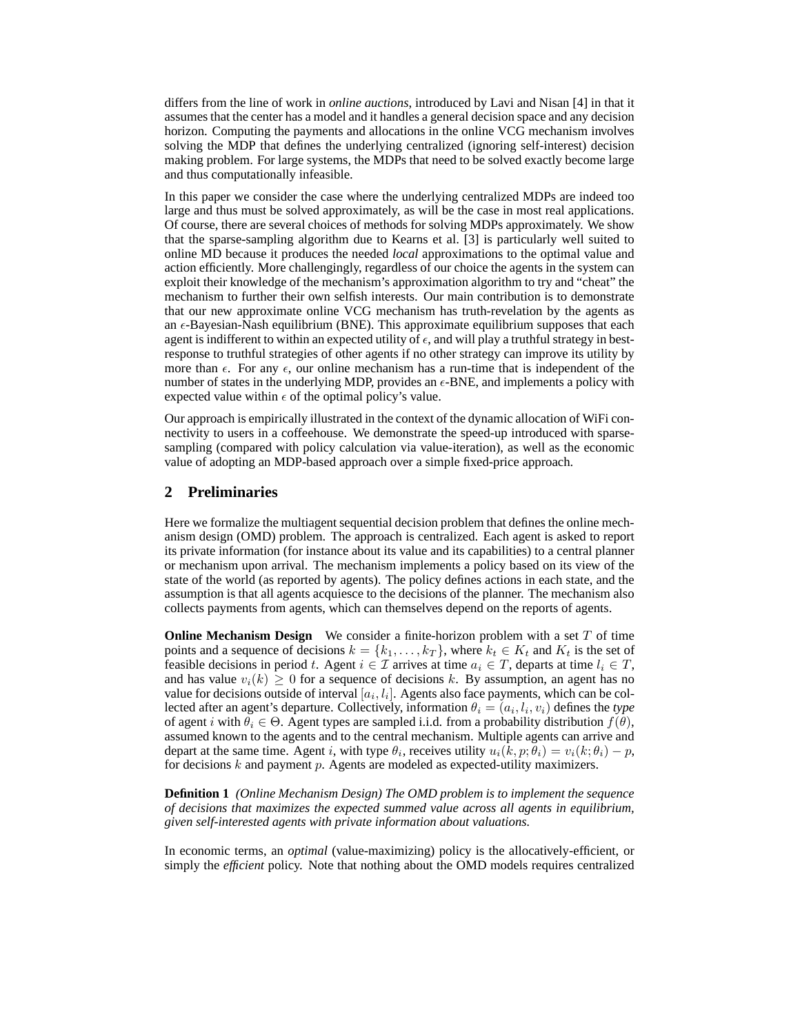differs from the line of work in *online auctions*, introduced by Lavi and Nisan [4] in that it assumes that the center has a model and it handles a general decision space and any decision horizon. Computing the payments and allocations in the online VCG mechanism involves solving the MDP that defines the underlying centralized (ignoring self-interest) decision making problem. For large systems, the MDPs that need to be solved exactly become large and thus computationally infeasible.

In this paper we consider the case where the underlying centralized MDPs are indeed too large and thus must be solved approximately, as will be the case in most real applications. Of course, there are several choices of methods for solving MDPs approximately. We show that the sparse-sampling algorithm due to Kearns et al. [3] is particularly well suited to online MD because it produces the needed *local* approximations to the optimal value and action efficiently. More challengingly, regardless of our choice the agents in the system can exploit their knowledge of the mechanism's approximation algorithm to try and "cheat" the mechanism to further their own selfish interests. Our main contribution is to demonstrate that our new approximate online VCG mechanism has truth-revelation by the agents as an  $\epsilon$ -Bayesian-Nash equilibrium (BNE). This approximate equilibrium supposes that each agent is indifferent to within an expected utility of  $\epsilon$ , and will play a truthful strategy in bestresponse to truthful strategies of other agents if no other strategy can improve its utility by more than  $\epsilon$ . For any  $\epsilon$ , our online mechanism has a run-time that is independent of the number of states in the underlying MDP, provides an  $\epsilon$ -BNE, and implements a policy with expected value within  $\epsilon$  of the optimal policy's value.

Our approach is empirically illustrated in the context of the dynamic allocation of WiFi connectivity to users in a coffeehouse. We demonstrate the speed-up introduced with sparsesampling (compared with policy calculation via value-iteration), as well as the economic value of adopting an MDP-based approach over a simple fixed-price approach.

#### **2 Preliminaries**

Here we formalize the multiagent sequential decision problem that defines the online mechanism design (OMD) problem. The approach is centralized. Each agent is asked to report its private information (for instance about its value and its capabilities) to a central planner or mechanism upon arrival. The mechanism implements a policy based on its view of the state of the world (as reported by agents). The policy defines actions in each state, and the assumption is that all agents acquiesce to the decisions of the planner. The mechanism also collects payments from agents, which can themselves depend on the reports of agents.

**Online Mechanism Design** We consider a finite-horizon problem with a set T of time points and a sequence of decisions  $k = \{k_1, \ldots, k_T\}$ , where  $k_t \in K_t$  and  $K_t$  is the set of feasible decisions in period t. Agent  $i \in \mathcal{I}$  arrives at time  $a_i \in \mathcal{T}$ , departs at time  $l_i \in \mathcal{T}$ , and has value  $v_i(k) \geq 0$  for a sequence of decisions k. By assumption, an agent has no value for decisions outside of interval  $[a_i, l_i]$ . Agents also face payments, which can be collected after an agent's departure. Collectively, information  $\theta_i = (a_i, l_i, v_i)$  defines the *type* of agent i with  $\theta_i \in \Theta$ . Agent types are sampled i.i.d. from a probability distribution  $f(\theta)$ , assumed known to the agents and to the central mechanism. Multiple agents can arrive and depart at the same time. Agent *i*, with type  $\theta_i$ , receives utility  $u_i(k, p; \theta_i) = v_i(k; \theta_i) - p$ , for decisions  $k$  and payment  $p$ . Agents are modeled as expected-utility maximizers.

**Definition 1** *(Online Mechanism Design) The OMD problem is to implement the sequence of decisions that maximizes the expected summed value across all agents in equilibrium, given self-interested agents with private information about valuations.*

In economic terms, an *optimal* (value-maximizing) policy is the allocatively-efficient, or simply the *efficient* policy. Note that nothing about the OMD models requires centralized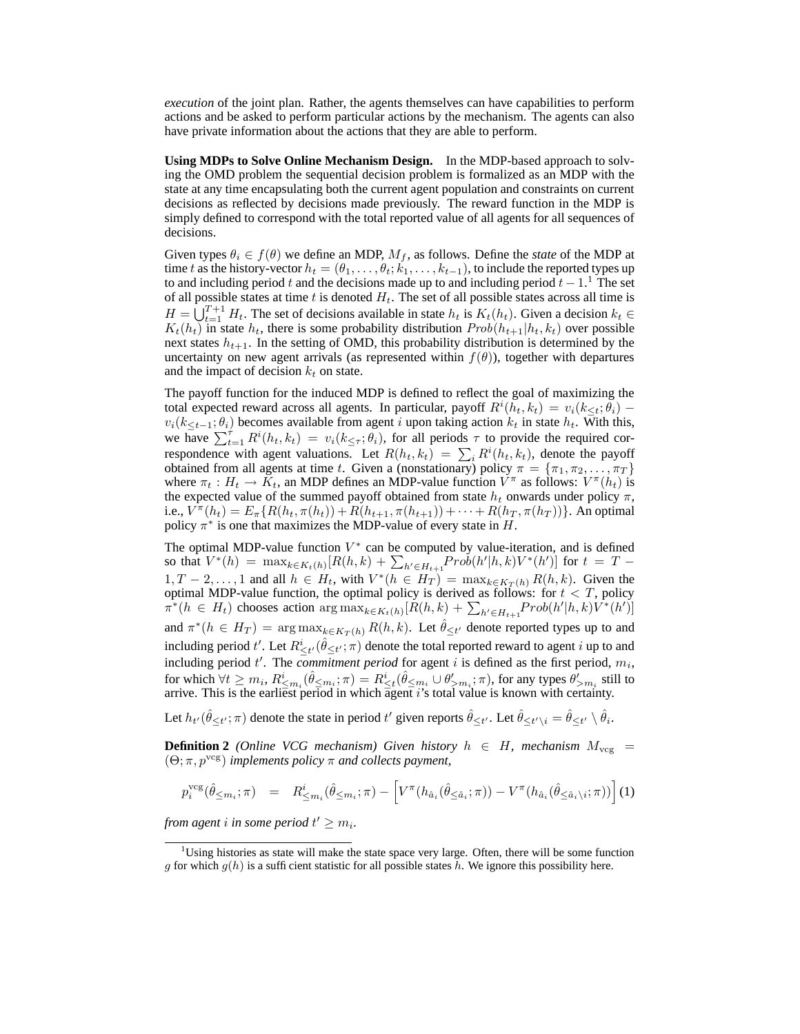*execution* of the joint plan. Rather, the agents themselves can have capabilities to perform actions and be asked to perform particular actions by the mechanism. The agents can also have private information about the actions that they are able to perform.

**Using MDPs to Solve Online Mechanism Design.** In the MDP-based approach to solving the OMD problem the sequential decision problem is formalized as an MDP with the state at any time encapsulating both the current agent population and constraints on current decisions as reflected by decisions made previously. The reward function in the MDP is simply defined to correspond with the total reported value of all agents for all sequences of decisions.

Given types  $\theta_i \in f(\theta)$  we define an MDP,  $M_f$ , as follows. Define the *state* of the MDP at time t as the history-vector  $h_t = (\theta_1, \dots, \theta_t; k_1, \dots, k_{t-1})$ , to include the reported types up to and including period t and the decisions made up to and including period  $t - 1$ .<sup>1</sup> The set of all possible states at time  $t$  is denoted  $H_t$ . The set of all possible states across all time is  $H = \bigcup_{t=1}^{T+1} H_t$ . The set of decisions available in state  $h_t$  is  $K_t(h_t)$ . Given a decision  $k_t \in$  $K_t(h_t)$  in state  $h_t$ , there is some probability distribution  $Prob(h_{t+1}|h_t, k_t)$  over possible next states  $h_{t+1}$ . In the setting of OMD, this probability distribution is determined by the uncertainty on new agent arrivals (as represented within  $f(\theta)$ ), together with departures and the impact of decision  $k_t$  on state.

The payoff function for the induced MDP is defined to reflect the goal of maximizing the total expected reward across all agents. In particular, payoff  $R^i(h_t, k_t) = v_i(k_{\leq t}; \theta_i)$  –  $v_i(k<sub>*t*-1</sub>; \theta_i)$  becomes available from agent i upon taking action  $k_t$  in state  $h_t$ . With this, we have  $\sum_{t=1}^{\tau} R^{i}(h_t, k_t) = v_i(k_{\leq \tau}; \theta_i)$ , for all periods  $\tau$  to provide the required correspondence with agent valuations. Let  $R(h_t, k_t) = \sum_i R^i(h_t, k_t)$ , denote the payoff obtained from all agents at time t. Given a (nonstationary) policy  $\pi = {\pi_1, \pi_2, ..., \pi_T}$ where  $\pi_t : H_t \to K_t$ , an MDP defines an MDP-value function  $V^{\pi}$  as follows:  $V^{\pi}(h_t)$  is the expected value of the summed payoff obtained from state  $h_t$  onwards under policy  $\pi$ , i.e.,  $V^{\pi}(h_t) = E_{\pi} \{ R(h_t, \pi(h_t)) + R(h_{t+1}, \pi(h_{t+1})) + \cdots + R(h_T, \pi(h_T)) \}$ . An optimal policy  $\pi^*$  is one that maximizes the MDP-value of every state in H.

The optimal MDP-value function  $V^*$  can be computed by value-iteration, and is defined so that  $V^*(h) = \max_{k \in K_t(h)} [R(h,k) + \sum_{h' \in H_{t+1}} Prob(h'|h,k)V^*(h')]$  for  $t = T 1, T-2, \ldots, 1$  and all  $h \in H_t$ , with  $V^*(h \in H_T) = \max_{k \in K_T(h)} R(h, k)$ . Given the optimal MDP-value function, the optimal policy is derived as follows: for  $t < T$ , policy  $\pi^*(h \in H_t)$  chooses action  $\arg \max_{k \in K_t(h)} [R(h,k) + \sum_{h' \in H_{t+1}} Prob(h'|h,k)V^*(h')]$ and  $\pi^*(h \in H_T) = \arg \max_{k \in K_T(h)} R(h, k)$ . Let  $\hat{\theta}_{\leq t'}$  denote reported types up to and including period t'. Let  $R^i_{\leq t'}(\hat{\theta}_{\leq t'};\pi)$  denote the total reported reward to agent i up to and including period  $t'$ . The *commitment period* for agent i is defined as the first period,  $m_i$ , for which  $\forall t \geq m_i$ ,  $R^i_{\leq m_i}(\hat{\theta}_{\leq m_i}; \pi) = R^i_{\leq t}(\hat{\theta}_{\leq m_i} \cup \theta'_{>m_i}; \pi)$ , for any types  $\theta'_{>m_i}$  still to arrive. This is the earliest period in which agent i's total value is known with certainty.

Let  $h_{t'}(\hat{\theta}_{\leq t'}; \pi)$  denote the state in period  $t'$  given reports  $\hat{\theta}_{\leq t'}$ . Let  $\hat{\theta}_{\leq t'\setminus i} = \hat{\theta}_{\leq t'} \setminus \hat{\theta}_i$ .

**Definition 2** *(Online VCG mechanism)* Given history  $h \in H$ , mechanism  $M_{\text{vcg}} =$  $(\Theta; \pi, p^{\text{vcg}})$  *implements policy*  $\pi$  *and collects payment,* 

$$
p_i^{\text{vcg}}(\hat{\theta}_{\leq m_i}; \pi) = R_{\leq m_i}^i(\hat{\theta}_{\leq m_i}; \pi) - \left[ V^{\pi}(h_{\hat{a}_i}(\hat{\theta}_{\leq \hat{a}_i}; \pi)) - V^{\pi}(h_{\hat{a}_i}(\hat{\theta}_{\leq \hat{a}_i \setminus i}; \pi)) \right] (1)
$$

from agent i in some period  $t' \geq m_i$ .

<sup>&</sup>lt;sup>1</sup>Using histories as state will make the state space very large. Often, there will be some function g for which  $g(h)$  is a sufficient statistic for all possible states h. We ignore this possibility here.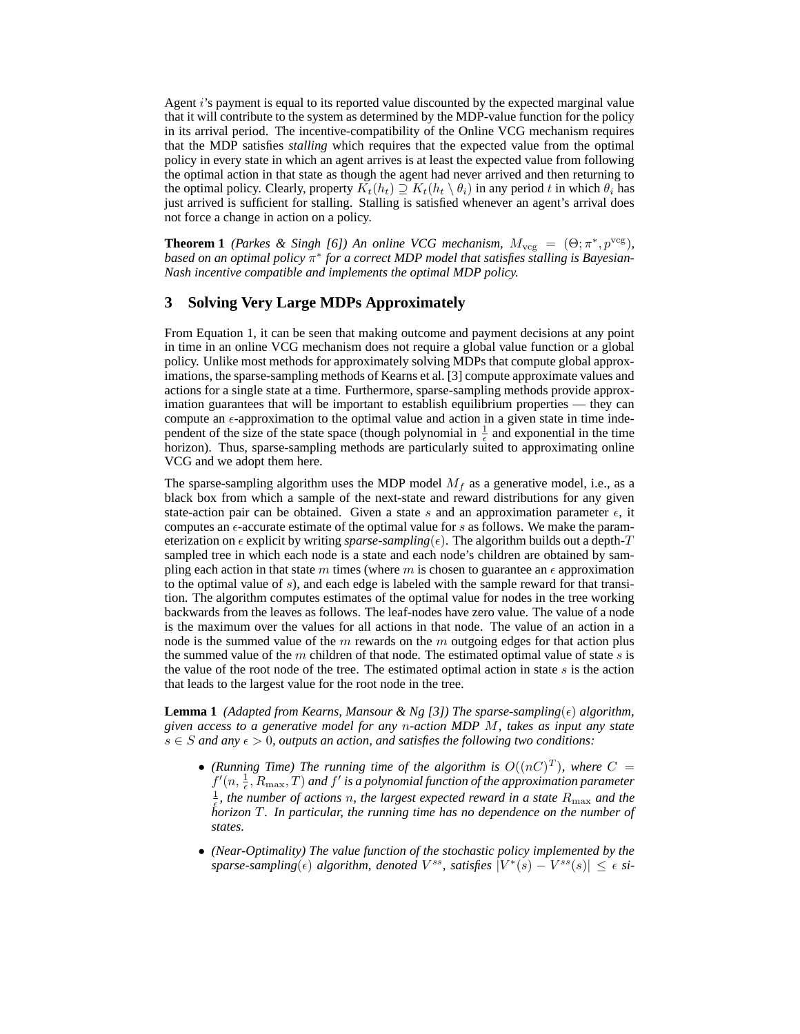Agent i's payment is equal to its reported value discounted by the expected marginal value that it will contribute to the system as determined by the MDP-value function for the policy in its arrival period. The incentive-compatibility of the Online VCG mechanism requires that the MDP satisfies *stalling* which requires that the expected value from the optimal policy in every state in which an agent arrives is at least the expected value from following the optimal action in that state as though the agent had never arrived and then returning to the optimal policy. Clearly, property  $K_t(h_t) \supseteq K_t(h_t \setminus \theta_i)$  in any period t in which  $\theta_i$  has just arrived is sufficient for stalling. Stalling is satisfied whenever an agent's arrival does not force a change in action on a policy.

**Theorem 1** *(Parkes & Singh [6])* An online VCG mechanism,  $M_{\text{vcg}} = (\Theta; \pi^*, p^{\text{vcg}})$ , *based on an optimal policy* π ∗ *for a correct MDP model that satisfies stalling is Bayesian-Nash incentive compatible and implements the optimal MDP policy.*

### **3 Solving Very Large MDPs Approximately**

From Equation 1, it can be seen that making outcome and payment decisions at any point in time in an online VCG mechanism does not require a global value function or a global policy. Unlike most methods for approximately solving MDPs that compute global approximations, the sparse-sampling methods of Kearns et al. [3] compute approximate values and actions for a single state at a time. Furthermore, sparse-sampling methods provide approximation guarantees that will be important to establish equilibrium properties — they can compute an  $\epsilon$ -approximation to the optimal value and action in a given state in time independent of the size of the state space (though polynomial in  $\frac{1}{\epsilon}$  and exponential in the time horizon). Thus, sparse-sampling methods are particularly suited to approximating online VCG and we adopt them here.

The sparse-sampling algorithm uses the MDP model  $M_f$  as a generative model, i.e., as a black box from which a sample of the next-state and reward distributions for any given state-action pair can be obtained. Given a state s and an approximation parameter  $\epsilon$ , it computes an  $\epsilon$ -accurate estimate of the optimal value for s as follows. We make the parameterization on  $\epsilon$  explicit by writing *sparse-sampling*( $\epsilon$ ). The algorithm builds out a depth-T sampled tree in which each node is a state and each node's children are obtained by sampling each action in that state m times (where m is chosen to guarantee an  $\epsilon$  approximation to the optimal value of s), and each edge is labeled with the sample reward for that transition. The algorithm computes estimates of the optimal value for nodes in the tree working backwards from the leaves as follows. The leaf-nodes have zero value. The value of a node is the maximum over the values for all actions in that node. The value of an action in a node is the summed value of the  $m$  rewards on the  $m$  outgoing edges for that action plus the summed value of the m children of that node. The estimated optimal value of state  $s$  is the value of the root node of the tree. The estimated optimal action in state  $s$  is the action that leads to the largest value for the root node in the tree.

**Lemma 1** *(Adapted from Kearns, Mansour & Ng [3]) The sparse-sampling* $(\epsilon)$  *algorithm, given access to a generative model for any* n*-action MDP* M*, takes as input any state*  $s \in S$  and any  $\epsilon > 0$ , outputs an action, and satisfies the following two conditions:

- (Running Time) The running time of the algorithm is  $O((nC)^T)$ , where  $C =$  $f'(n, \frac{1}{\epsilon}, R_{\text{max}}, T)$  and  $f'$  is a polynomial function of the approximation parameter  $\frac{1}{5}$ , the number of actions *n*, the largest expected reward in a state  $R_{\text{max}}$  and the *horizon* T*. In particular, the running time has no dependence on the number of states.*
- *(Near-Optimality) The value function of the stochastic policy implemented by the*  $sparse-sampling(\epsilon)$  algorithm, denoted  $V^{ss}$ , satisfies  $|V^*(s) - V^{ss}(s)| \leq \epsilon$  si-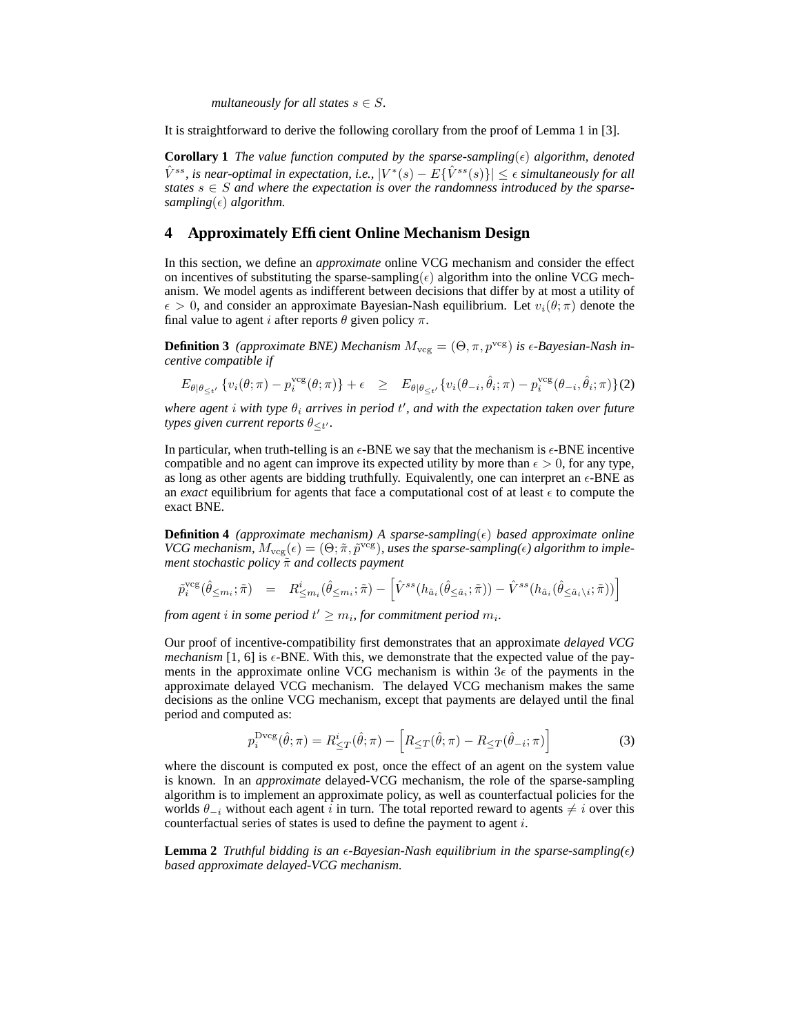*multaneously for all states*  $s \in S$ .

It is straightforward to derive the following corollary from the proof of Lemma 1 in [3].

**Corollary 1** *The value function computed by the sparse-sampling*( $\epsilon$ ) *algorithm, denoted*  $\hat{V}^{ss}$ , is near-optimal in expectation, i.e.,  $|V^*(s) - E\{\hat{V}^{ss}(s)\}| \leq \epsilon$  simultaneously for all *states*  $s \in S$  *and where the expectation is over the randomness introduced by the sparsesampling*( $\epsilon$ ) *algorithm.* 

## **4 Approximately Efficient Online Mechanism Design**

In this section, we define an *approximate* online VCG mechanism and consider the effect on incentives of substituting the sparse-sampling( $\epsilon$ ) algorithm into the online VCG mechanism. We model agents as indifferent between decisions that differ by at most a utility of  $\epsilon > 0$ , and consider an approximate Bayesian-Nash equilibrium. Let  $v_i(\theta; \pi)$  denote the final value to agent i after reports  $\theta$  given policy  $\pi$ .

**Definition 3** *(approximate BNE)* Mechanism  $M_{\text{vec}} = (\Theta, \pi, p^{\text{vcg}})$  *is*  $\epsilon$ -*Bayesian-Nash incentive compatible if*

$$
E_{\theta|\theta_{\leq t'}}\left\{v_i(\theta;\pi)-p_i^{\text{vcg}}(\theta;\pi)\right\}+\epsilon \geq E_{\theta|\theta_{\leq t'}}\left\{v_i(\theta_{-i},\hat{\theta}_i;\pi)-p_i^{\text{vcg}}(\theta_{-i},\hat{\theta}_i;\pi)\right\}(2)
$$

 $\omega$  *where agent*  $i$  *with type*  $\theta_i$  *arrives in period*  $t'$ *, and with the expectation taken over future types given current reports*  $\theta_{\leq t'}$ .

In particular, when truth-telling is an  $\epsilon$ -BNE we say that the mechanism is  $\epsilon$ -BNE incentive compatible and no agent can improve its expected utility by more than  $\epsilon > 0$ , for any type, as long as other agents are bidding truthfully. Equivalently, one can interpret an  $\epsilon$ -BNE as an *exact* equilibrium for agents that face a computational cost of at least  $\epsilon$  to compute the exact BNE.

**Definition 4** *(approximate mechanism)* A *sparse-sampling* $(\epsilon)$  *based approximate online VCG mechanism,*  $M_{\text{vcg}}(\epsilon) = (\Theta; \tilde{\pi}, \tilde{p}^{\text{vcg}})$ , uses the sparse-sampling( $\epsilon$ ) algorithm to imple*ment stochastic policy*  $\tilde{\pi}$  *and collects payment* 

$$
\tilde{p}_i^{\text{vcg}}(\hat{\theta}_{\leq m_i}; \tilde{\pi}) = R_{\leq m_i}^i(\hat{\theta}_{\leq m_i}; \tilde{\pi}) - \left[\hat{V}^{ss}(h_{\hat{a}_i}(\hat{\theta}_{\leq \hat{a}_i}; \tilde{\pi})) - \hat{V}^{ss}(h_{\hat{a}_i}(\hat{\theta}_{\leq \hat{a}_i \setminus i}; \tilde{\pi}))\right]
$$

from agent  $i$  in some period  $t' \geq m_i$ , for commitment period  $m_i$ .

Our proof of incentive-compatibility first demonstrates that an approximate *delayed VCG mechanism* [1, 6] is  $\epsilon$ -BNE. With this, we demonstrate that the expected value of the payments in the approximate online VCG mechanism is within  $3\epsilon$  of the payments in the approximate delayed VCG mechanism. The delayed VCG mechanism makes the same decisions as the online VCG mechanism, except that payments are delayed until the final period and computed as:

$$
p_i^{\text{Dvcg}}(\hat{\theta}; \pi) = R_{\leq T}^i(\hat{\theta}; \pi) - \left[ R_{\leq T}(\hat{\theta}; \pi) - R_{\leq T}(\hat{\theta}_{-i}; \pi) \right]
$$
(3)

where the discount is computed ex post, once the effect of an agent on the system value is known. In an *approximate* delayed-VCG mechanism, the role of the sparse-sampling algorithm is to implement an approximate policy, as well as counterfactual policies for the worlds  $\theta_{-i}$  without each agent i in turn. The total reported reward to agents  $\neq i$  over this counterfactual series of states is used to define the payment to agent i.

**Lemma 2** *Truthful bidding is an*  $\epsilon$ -Bayesian-Nash equilibrium in the sparse-sampling( $\epsilon$ ) *based approximate delayed-VCG mechanism.*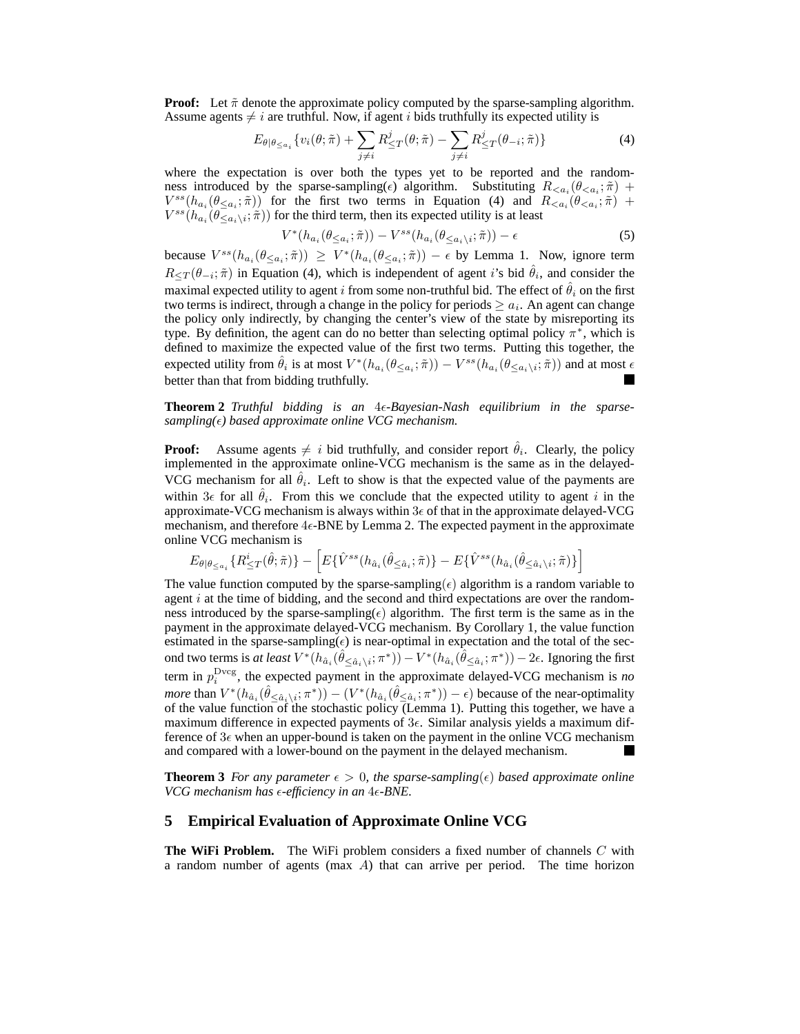**Proof:** Let  $\tilde{\pi}$  denote the approximate policy computed by the sparse-sampling algorithm. Assume agents  $\neq i$  are truthful. Now, if agent i bids truthfully its expected utility is

$$
E_{\theta|\theta \leq a_i} \{v_i(\theta; \tilde{\pi}) + \sum_{j \neq i} R_{\leq T}^j(\theta; \tilde{\pi}) - \sum_{j \neq i} R_{\leq T}^j(\theta_{-i}; \tilde{\pi})\}
$$
(4)

where the expectation is over both the types yet to be reported and the randomness introduced by the sparse-sampling( $\epsilon$ ) algorithm. Substituting  $R_{\leq a_i}(\theta_{\leq a_i}; \tilde{\pi})$  +  $V^{ss}(h_{a_i}(\theta_{\leq a_i};\tilde{\pi}))$  for the first two terms in Equation (4) and  $R_{\leq a_i}(\theta_{\leq a_i};\tilde{\pi})$  +  $V^{ss}(h_{a_i}(\theta \bar{\zeta}_{a_i\setminus i}; \hat{\pi}))$  for the third term, then its expected utility is at least

$$
V^*(h_{a_i}(\theta_{\leq a_i}; \tilde{\pi})) - V^{ss}(h_{a_i}(\theta_{\leq a_i \setminus i}; \tilde{\pi})) - \epsilon
$$
\n<sup>(5)</sup>

because  $V^{ss}(h_{a_i}(\theta_{\leq a_i}; \tilde{\pi})) \geq V^*(h_{a_i}(\theta_{\leq a_i}; \tilde{\pi})) - \epsilon$  by Lemma 1. Now, ignore term  $R_{\leq T}(\theta_{-i};\tilde{\pi})$  in Equation (4), which is independent of agent *i*'s bid  $\hat{\theta}_i$ , and consider the maximal expected utility to agent i from some non-truthful bid. The effect of  $\hat{\theta}_i$  on the first two terms is indirect, through a change in the policy for periods  $\geq a_i$ . An agent can change the policy only indirectly, by changing the center's view of the state by misreporting its type. By definition, the agent can do no better than selecting optimal policy  $\pi^*$ , which is defined to maximize the expected value of the first two terms. Putting this together, the expected utility from  $\hat{\theta}_i$  is at most  $V^*(h_{a_i}(\theta_{\leq a_i}; \tilde{\pi})) - V^{ss}(h_{a_i}(\theta_{\leq a_i\setminus i}; \tilde{\pi}))$  and at most  $\epsilon$ better than that from bidding truthfully.

#### **Theorem 2** *Truthful bidding is an* 4*-Bayesian-Nash equilibrium in the sparsesampling() based approximate online VCG mechanism.*

**Proof:** Assume agents  $\neq i$  bid truthfully, and consider report  $\hat{\theta}_i$ . Clearly, the policy implemented in the approximate online-VCG mechanism is the same as in the delayed-VCG mechanism for all  $\hat{\theta}_i$ . Left to show is that the expected value of the payments are within  $3\epsilon$  for all  $\hat{\theta}_i$ . From this we conclude that the expected utility to agent i in the approximate-VCG mechanism is always within  $3\epsilon$  of that in the approximate delayed-VCG mechanism, and therefore  $4\epsilon$ -BNE by Lemma 2. The expected payment in the approximate online VCG mechanism is

$$
E_{\theta|\theta_{\leq a_i}}\{R_{\leq T}^i(\hat{\theta};\tilde{\pi})\}-\left[E\{\hat{V}^{ss}(h_{\hat{a}_i}(\hat{\theta}_{\leq \hat{a}_i};\tilde{\pi})\}-E\{\hat{V}^{ss}(h_{\hat{a}_i}(\hat{\theta}_{\leq \hat{a}_i\backslash i};\tilde{\pi})\}\right]
$$

The value function computed by the sparse-sampling( $\epsilon$ ) algorithm is a random variable to agent i at the time of bidding, and the second and third expectations are over the randomness introduced by the sparse-sampling( $\epsilon$ ) algorithm. The first term is the same as in the payment in the approximate delayed-VCG mechanism. By Corollary 1, the value function estimated in the sparse-sampling( $\epsilon$ ) is near-optimal in expectation and the total of the second two terms is *at least*  $V^*(h_{\hat{a}_i}(\hat{\theta}_{\leq \hat{a}_i\setminus i}; \pi^*)) - V^*(h_{\hat{a}_i}(\hat{\theta}_{\leq \hat{a}_i}; \pi^*)) - 2\epsilon.$  Ignoring the first term in  $p_i^{\text{Dvcg}}$ , the expected payment in the approximate delayed-VCG mechanism is *no more* than  $V^*(h_{\hat{a}_i}(\hat{\theta}_{\leq \hat{a}_i\setminus i}; \pi^*)) - (V^*(h_{\hat{a}_i}(\hat{\theta}_{\leq \hat{a}_i}; \pi^*)) - \epsilon)$  because of the near-optimality of the value function of the stochastic policy (Lemma 1). Putting this together, we have a maximum difference in expected payments of  $3\epsilon$ . Similar analysis yields a maximum difference of  $3\epsilon$  when an upper-bound is taken on the payment in the online VCG mechanism and compared with a lower-bound on the payment in the delayed mechanism.

**Theorem 3** *For any parameter*  $\epsilon > 0$ , the sparse-sampling( $\epsilon$ ) based approximate online *VCG mechanism has -efficiency in an* 4*-BNE.*

## **5 Empirical Evaluation of Approximate Online VCG**

**The WiFi Problem.** The WiFi problem considers a fixed number of channels C with a random number of agents (max  $A$ ) that can arrive per period. The time horizon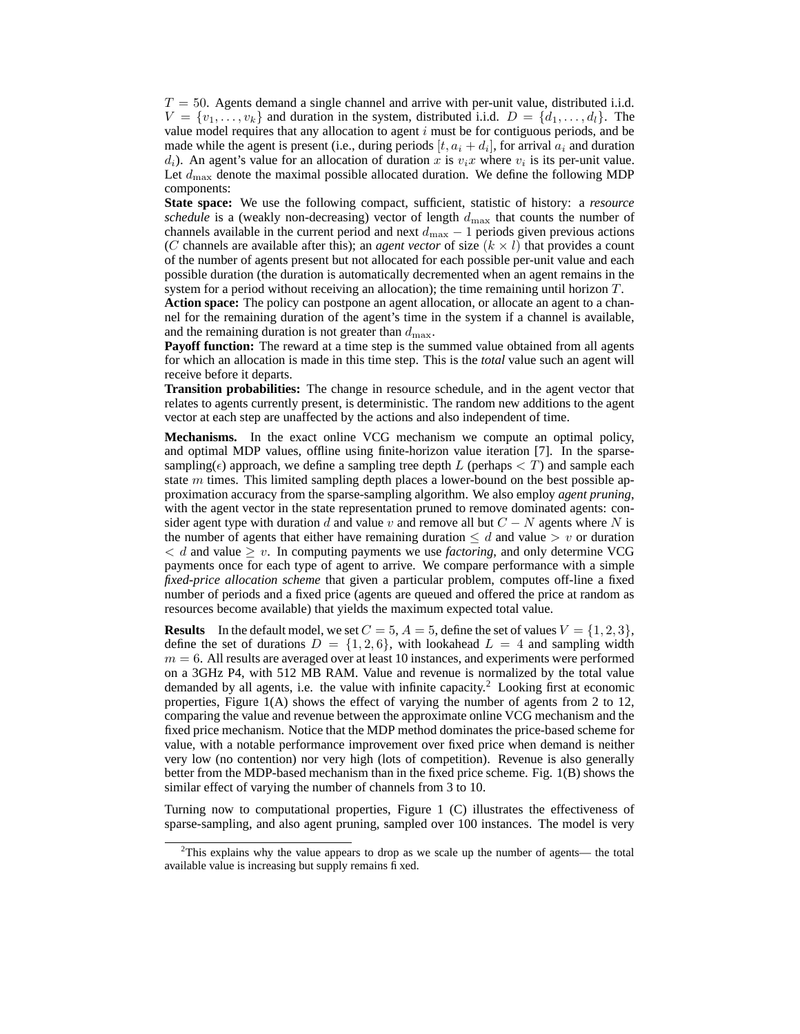$T = 50$ . Agents demand a single channel and arrive with per-unit value, distributed i.i.d.  $V = \{v_1, \ldots, v_k\}$  and duration in the system, distributed i.i.d.  $D = \{d_1, \ldots, d_l\}$ . The value model requires that any allocation to agent  $i$  must be for contiguous periods, and be made while the agent is present (i.e., during periods  $[t, a_i + d_i]$ , for arrival  $a_i$  and duration  $d_i$ ). An agent's value for an allocation of duration x is  $v_i x$  where  $v_i$  is its per-unit value. Let  $d_{\text{max}}$  denote the maximal possible allocated duration. We define the following MDP components:

**State space:** We use the following compact, sufficient, statistic of history: a *resource schedule* is a (weakly non-decreasing) vector of length  $d_{\text{max}}$  that counts the number of channels available in the current period and next  $d_{\text{max}} - 1$  periods given previous actions (C channels are available after this); an *agent vector* of size  $(k \times l)$  that provides a count of the number of agents present but not allocated for each possible per-unit value and each possible duration (the duration is automatically decremented when an agent remains in the system for a period without receiving an allocation); the time remaining until horizon T.

**Action space:** The policy can postpone an agent allocation, or allocate an agent to a channel for the remaining duration of the agent's time in the system if a channel is available, and the remaining duration is not greater than  $d_{\text{max}}$ .

**Payoff function:** The reward at a time step is the summed value obtained from all agents for which an allocation is made in this time step. This is the *total* value such an agent will receive before it departs.

**Transition probabilities:** The change in resource schedule, and in the agent vector that relates to agents currently present, is deterministic. The random new additions to the agent vector at each step are unaffected by the actions and also independent of time.

**Mechanisms.** In the exact online VCG mechanism we compute an optimal policy, and optimal MDP values, offline using finite-horizon value iteration [7]. In the sparsesampling( $\epsilon$ ) approach, we define a sampling tree depth L (perhaps  $\lt T$ ) and sample each state  $m$  times. This limited sampling depth places a lower-bound on the best possible approximation accuracy from the sparse-sampling algorithm. We also employ *agent pruning*, with the agent vector in the state representation pruned to remove dominated agents: consider agent type with duration d and value v and remove all but  $C - N$  agents where N is the number of agents that either have remaining duration  $\leq d$  and value  $> v$  or duration  $d < d$  and value  $\geq v$ . In computing payments we use *factoring*, and only determine VCG payments once for each type of agent to arrive. We compare performance with a simple *fixed-price allocation scheme* that given a particular problem, computes off-line a fixed number of periods and a fixed price (agents are queued and offered the price at random as resources become available) that yields the maximum expected total value.

**Results** In the default model, we set  $C = 5$ ,  $A = 5$ , define the set of values  $V = \{1, 2, 3\}$ , define the set of durations  $D = \{1, 2, 6\}$ , with lookahead  $L = 4$  and sampling width  $m = 6$ . All results are averaged over at least 10 instances, and experiments were performed on a 3GHz P4, with 512 MB RAM. Value and revenue is normalized by the total value demanded by all agents, i.e. the value with infinite capacity.<sup>2</sup> Looking first at economic properties, Figure 1(A) shows the effect of varying the number of agents from 2 to 12, comparing the value and revenue between the approximate online VCG mechanism and the fixed price mechanism. Notice that the MDP method dominates the price-based scheme for value, with a notable performance improvement over fixed price when demand is neither very low (no contention) nor very high (lots of competition). Revenue is also generally better from the MDP-based mechanism than in the fixed price scheme. Fig. 1(B) shows the similar effect of varying the number of channels from 3 to 10.

Turning now to computational properties, Figure 1 (C) illustrates the effectiveness of sparse-sampling, and also agent pruning, sampled over 100 instances. The model is very

 $2$ This explains why the value appears to drop as we scale up the number of agents— the total available value is increasing but supply remains fixed.